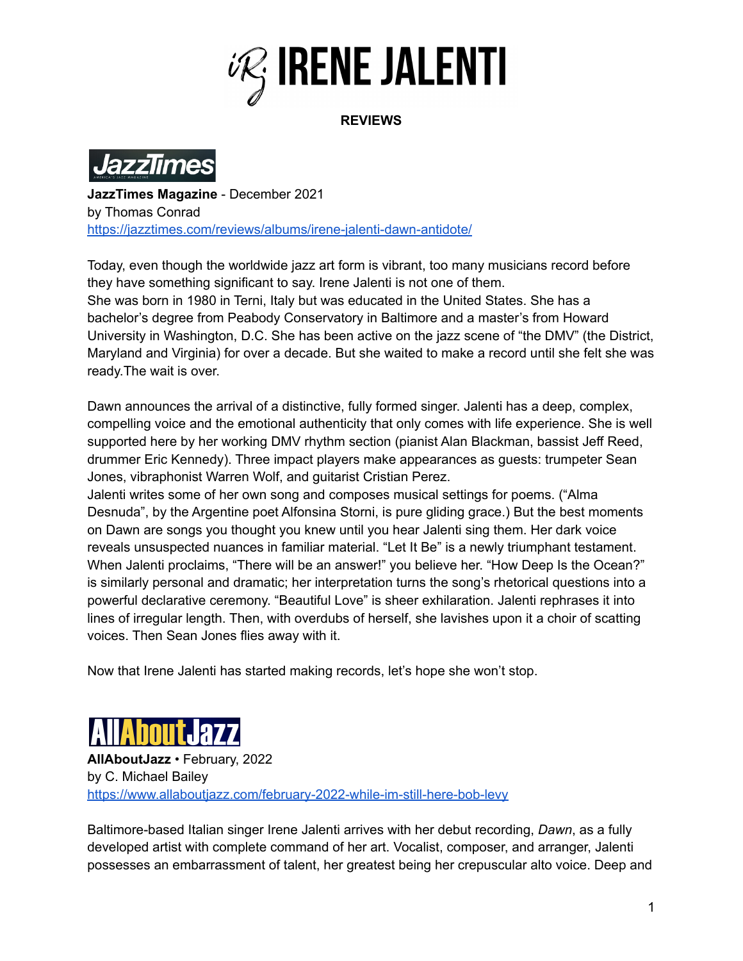

**REVIEWS**



**JazzTimes Magazine** - December 2021 by Thomas Conrad <https://jazztimes.com/reviews/albums/irene-jalenti-dawn-antidote/>

Today, even though the worldwide jazz art form is vibrant, too many musicians record before they have something significant to say. Irene Jalenti is not one of them. She was born in 1980 in Terni, Italy but was educated in the United States. She has a bachelor's degree from Peabody Conservatory in Baltimore and a master's from Howard University in Washington, D.C. She has been active on the jazz scene of "the DMV" (the District, Maryland and Virginia) for over a decade. But she waited to make a record until she felt she was ready.The wait is over.

Dawn announces the arrival of a distinctive, fully formed singer. Jalenti has a deep, complex, compelling voice and the emotional authenticity that only comes with life experience. She is well supported here by her working DMV rhythm section (pianist Alan Blackman, bassist Jeff Reed, drummer Eric Kennedy). Three impact players make appearances as guests: trumpeter Sean Jones, vibraphonist Warren Wolf, and guitarist Cristian Perez.

Jalenti writes some of her own song and composes musical settings for poems. ("Alma Desnuda", by the Argentine poet Alfonsina Storni, is pure gliding grace.) But the best moments on Dawn are songs you thought you knew until you hear Jalenti sing them. Her dark voice reveals unsuspected nuances in familiar material. "Let It Be" is a newly triumphant testament. When Jalenti proclaims, "There will be an answer!" you believe her. "How Deep Is the Ocean?" is similarly personal and dramatic; her interpretation turns the song's rhetorical questions into a powerful declarative ceremony. "Beautiful Love" is sheer exhilaration. Jalenti rephrases it into lines of irregular length. Then, with overdubs of herself, she lavishes upon it a choir of scatting voices. Then Sean Jones flies away with it.

Now that Irene Jalenti has started making records, let's hope she won't stop.



**AllAboutJazz** • February, 2022 by C. Michael Bailey <https://www.allaboutjazz.com/february-2022-while-im-still-here-bob-levy>

Baltimore-based Italian singer Irene Jalenti arrives with her debut recording, *Dawn*, as a fully developed artist with complete command of her art. Vocalist, composer, and arranger, Jalenti possesses an embarrassment of talent, her greatest being her crepuscular alto voice. Deep and